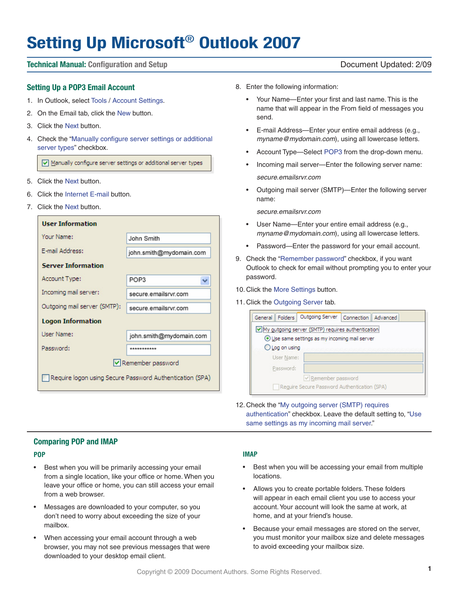# **Setting Up Microsoft**® **Outlook 2007**

# **Technical Manual: Configuration and Setup** Document Updated: 2/09

#### **Setting Up a POP3 Email Account**

- 1. In Outlook, select Tools / Account Settings.
- 2. On the Email tab, click the New button.
- 3. Click the Next button.
- 4. Check the "Manually configure server settings or additional server types" checkbox.

Manually configure server settings or additional server types

- 5. Click the Next button.
- 6. Click the Internet E-mail button.
- 7. Click the Next button.

| <b>User Information</b>                                  |                         |  |  |  |  |  |  |
|----------------------------------------------------------|-------------------------|--|--|--|--|--|--|
| Your Name:                                               | John Smith              |  |  |  |  |  |  |
| E-mail Address:                                          | john.smith@mydomain.com |  |  |  |  |  |  |
| <b>Server Information</b>                                |                         |  |  |  |  |  |  |
| Account Type:                                            | POP3                    |  |  |  |  |  |  |
| Incoming mail server:                                    | secure.emailsrvr.com    |  |  |  |  |  |  |
| Outgoing mail server (SMTP):                             | secure emailsryr.com    |  |  |  |  |  |  |
| <b>Logon Information</b>                                 |                         |  |  |  |  |  |  |
| Liser Name:                                              | john.smith@mydomain.com |  |  |  |  |  |  |
| Password:                                                | ***********             |  |  |  |  |  |  |
| Remember password                                        |                         |  |  |  |  |  |  |
| Require logon using Secure Password Authentication (SPA) |                         |  |  |  |  |  |  |

- 8. Enter the following information:
	- • Your Name—Enter your first and last name. This is the name that will appear in the From field of messages you send.
	- • E-mail Address—Enter your entire email address (e.g., *myname@mydomain.com*), using all lowercase letters.
	- Account Type—Select POP3 from the drop-down menu.
	- Incoming mail server—Enter the following server name: *secure.emailsrvr.com*
	- Outgoing mail server (SMTP)-Enter the following server name:

*secure.emailsrvr.com*

- User Name-Enter your entire email address (e.g., *myname@mydomain.com*), using all lowercase letters.
- • Password—Enter the password for your email account.
- 9. Check the "Remember password" checkbox, if you want Outlook to check for email without prompting you to enter your password.
- 10. Click the More Settings button.
- 11. Click the Outgoing Server tab.

| General Folders                                     |                | Outgoing Server   | Connection    Advanced |  |  |  |  |  |  |
|-----------------------------------------------------|----------------|-------------------|------------------------|--|--|--|--|--|--|
| V My outgoing server (SMTP) requires authentication |                |                   |                        |  |  |  |  |  |  |
| Use same settings as my incoming mail server        |                |                   |                        |  |  |  |  |  |  |
|                                                     | O Log on using |                   |                        |  |  |  |  |  |  |
|                                                     | User Name:     |                   |                        |  |  |  |  |  |  |
|                                                     | Password:      |                   |                        |  |  |  |  |  |  |
|                                                     |                | Remember password |                        |  |  |  |  |  |  |
| Require Secure Password Authentication (SPA)        |                |                   |                        |  |  |  |  |  |  |

12. Check the "My outgoing server (SMTP) requires authentication" checkbox. Leave the default setting to, "Use same settings as my incoming mail server."

### **Comparing POP and IMAP**

#### **POP**

- Best when you will be primarily accessing your email from a single location, like your office or home. When you leave your office or home, you can still access your email from a web browser.
- Messages are downloaded to your computer, so you don't need to worry about exceeding the size of your mailbox.
- When accessing your email account through a web browser, you may not see previous messages that were downloaded to your desktop email client.

#### **IMAP**

- Best when you will be accessing your email from multiple locations.
- Allows you to create portable folders. These folders will appear in each email client you use to access your account.Your account will look the same at work, at home, and at your friend's house.
- Because your email messages are stored on the server, you must monitor your mailbox size and delete messages to avoid exceeding your mailbox size.